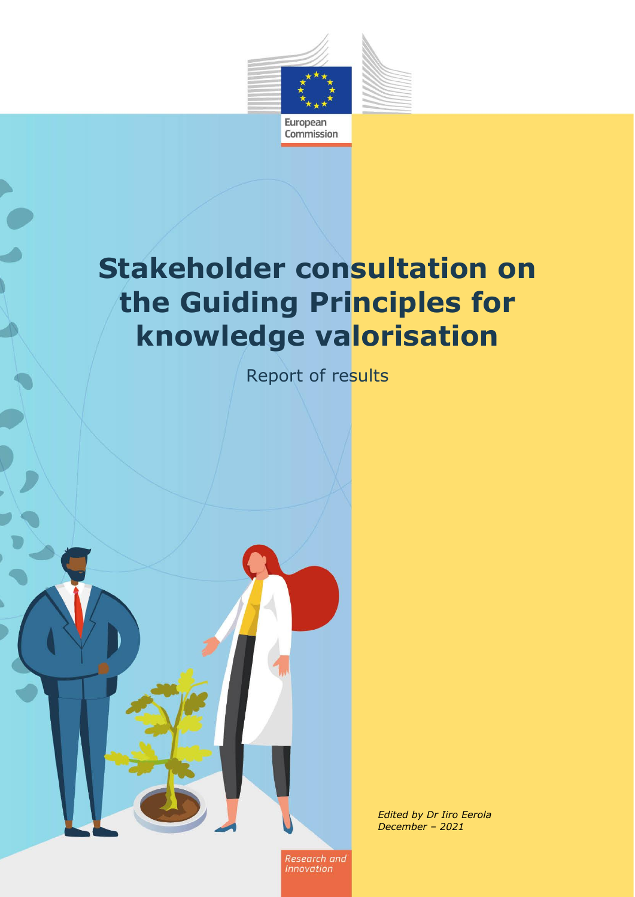

# **Stakeholder consultation on the Guiding Principles for knowledge valorisation**

Report of results



*Edited by Dr Iiro Eerola December – 2021*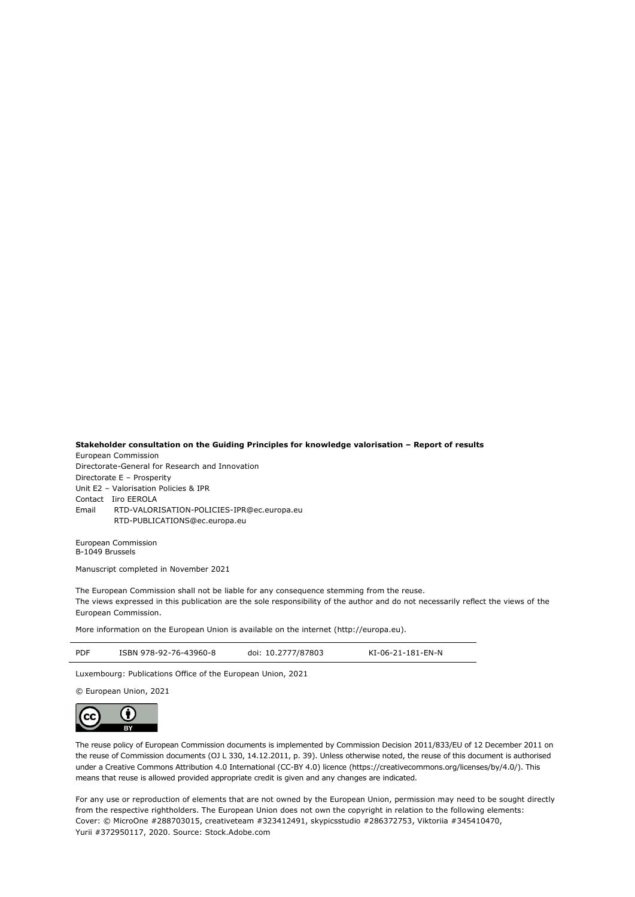#### **Stakeholder consultation on the Guiding Principles for knowledge valorisation – Report of results** European Commission

Directorate-General for Research and Innovation Directorate E – Prosperity Unit E2 – Valorisation Policies & IPR Contact Iiro EEROLA Email RTD-VALORISATION-POLICIES-IPR@ec.europa.eu [RTD-PUBLICATIONS@ec.europa.eu](mailto:RTD-PUBLICATIONS@ec.europa.eu)

European Commission B-1049 Brussels

Manuscript completed in November 2021

The European Commission shall not be liable for any consequence stemming from the reuse. The views expressed in this publication are the sole responsibility of the author and do not necessarily reflect the views of the European Commission.

More information on the European Union is available on the internet (http://europa.eu).

| PDF | ISBN 978-92-76-43960-8 | doi: 10.2777/87803 | KI-06-21-181-EN-N |
|-----|------------------------|--------------------|-------------------|
|     |                        |                    |                   |

Luxembourg: Publications Office of the European Union, 2021

© European Union, 2021



The reuse policy of European Commission documents is implemented by Commission Decision 2011/833/EU of 12 December 2011 on the reuse of Commission documents (OJ L 330, 14.12.2011, p. 39). Unless otherwise noted, the reuse of this document is authorised under a Creative Commons Attribution 4.0 International (CC-BY 4.0) licence (https://creativecommons.org/licenses/by/4.0/). This means that reuse is allowed provided appropriate credit is given and any changes are indicated.

For any use or reproduction of elements that are not owned by the European Union, permission may need to be sought directly from the respective rightholders. The European Union does not own the copyright in relation to the following elements: Cover: © MicroOne #288703015, creativeteam #323412491, skypicsstudio #286372753, Viktoriia #345410470, Yurii #372950117, 2020. Source: Stock.Adobe.com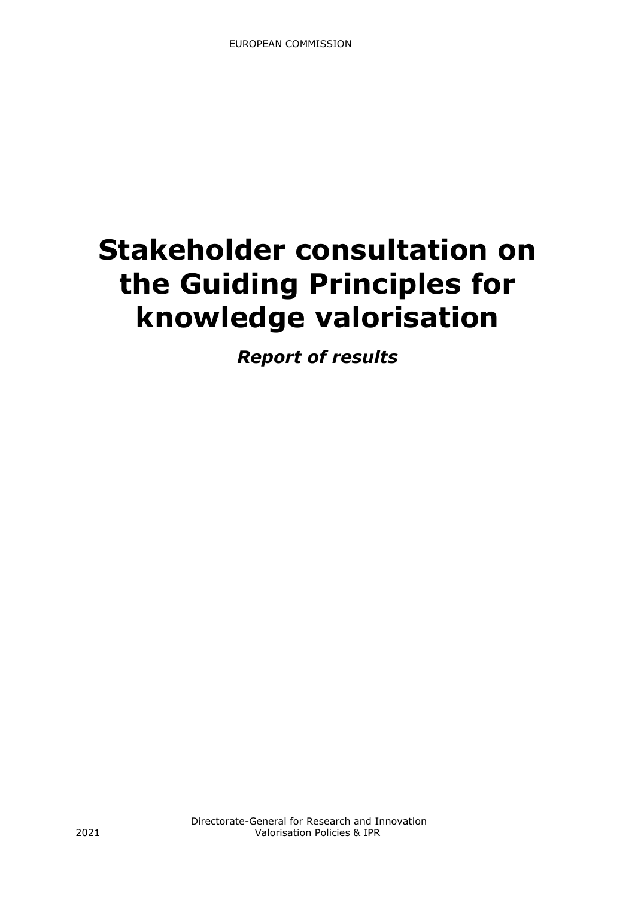# **Stakeholder consultation on the Guiding Principles for knowledge valorisation**

*Report of results*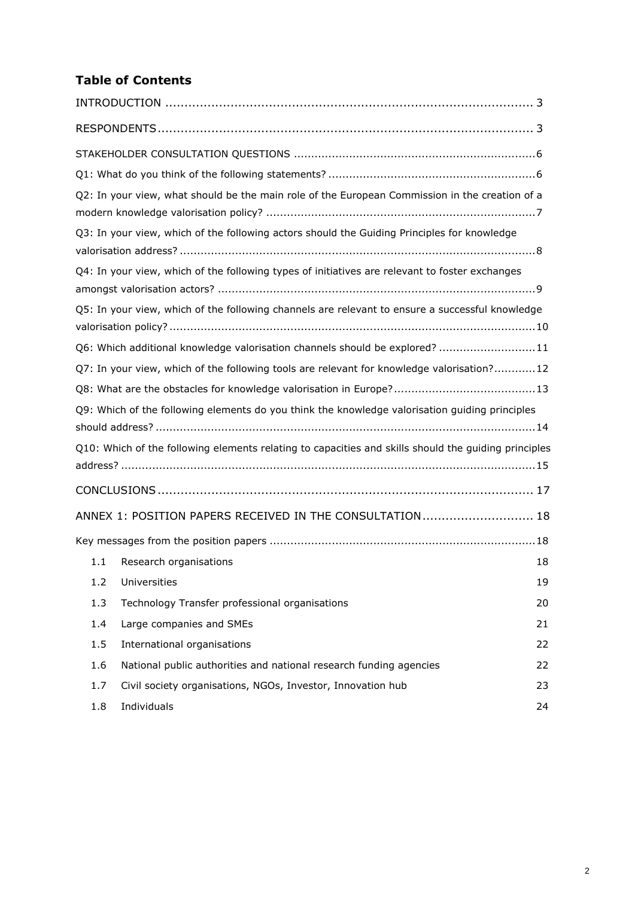# **Table of Contents**

|     | Q2: In your view, what should be the main role of the European Commission in the creation of a       |    |
|-----|------------------------------------------------------------------------------------------------------|----|
|     | Q3: In your view, which of the following actors should the Guiding Principles for knowledge          |    |
|     | Q4: In your view, which of the following types of initiatives are relevant to foster exchanges       |    |
|     | Q5: In your view, which of the following channels are relevant to ensure a successful knowledge      |    |
|     | Q6: Which additional knowledge valorisation channels should be explored? 11                          |    |
|     | Q7: In your view, which of the following tools are relevant for knowledge valorisation?12            |    |
|     |                                                                                                      |    |
|     | Q9: Which of the following elements do you think the knowledge valorisation guiding principles       |    |
|     |                                                                                                      |    |
|     | Q10: Which of the following elements relating to capacities and skills should the guiding principles |    |
|     |                                                                                                      |    |
|     |                                                                                                      |    |
|     | ANNEX 1: POSITION PAPERS RECEIVED IN THE CONSULTATION 18                                             |    |
|     |                                                                                                      |    |
| 1.1 | Research organisations                                                                               | 18 |
| 1.2 | Universities                                                                                         | 19 |
| 1.3 | Technology Transfer professional organisations                                                       | 20 |
| 1.4 | Large companies and SMEs                                                                             | 21 |
| 1.5 | International organisations                                                                          | 22 |
| 1.6 | National public authorities and national research funding agencies                                   | 22 |
| 1.7 | Civil society organisations, NGOs, Investor, Innovation hub                                          | 23 |
| 1.8 | Individuals                                                                                          | 24 |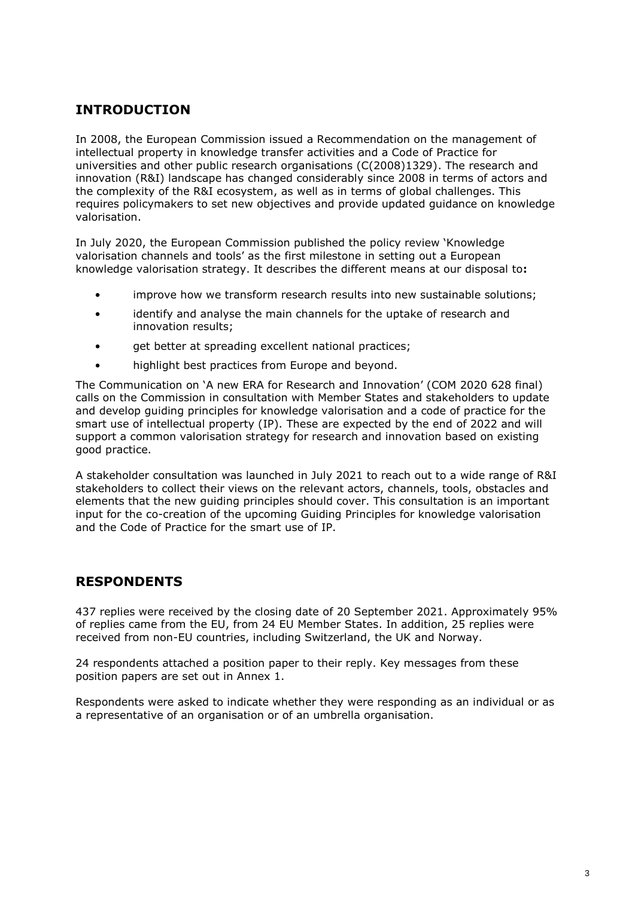# <span id="page-4-0"></span>**INTRODUCTION**

In 2008, the European Commission issued a Recommendation on the management of intellectual property in knowledge transfer activities and a Code of Practice for universities and other public research organisations (C(2008)1329). The research and innovation (R&I) landscape has changed considerably since 2008 in terms of actors and the complexity of the R&I ecosystem, as well as in terms of global challenges. This requires policymakers to set new objectives and provide updated guidance on knowledge valorisation.

In July 2020, the European Commission published the policy review 'Knowledge valorisation channels and tools' as the first milestone in setting out a European knowledge valorisation strategy. It describes the different means at our disposal to**:**

- improve how we transform research results into new sustainable solutions;
- identify and analyse the main channels for the uptake of research and innovation results;
- get better at spreading excellent national practices;
- highlight best practices from Europe and beyond.

The Communication on 'A new ERA for Research and Innovation' (COM 2020 628 final) calls on the Commission in consultation with Member States and stakeholders to update and develop guiding principles for knowledge valorisation and a code of practice for the smart use of intellectual property (IP). These are expected by the end of 2022 and will support a common valorisation strategy for research and innovation based on existing good practice.

A stakeholder consultation was launched in July 2021 to reach out to a wide range of R&I stakeholders to collect their views on the relevant actors, channels, tools, obstacles and elements that the new guiding principles should cover. This consultation is an important input for the co-creation of the upcoming Guiding Principles for knowledge valorisation and the Code of Practice for the smart use of IP.

# <span id="page-4-1"></span>**RESPONDENTS**

437 replies were received by the closing date of 20 September 2021. Approximately 95% of replies came from the EU, from 24 EU Member States. In addition, 25 replies were received from non-EU countries, including Switzerland, the UK and Norway.

24 respondents attached a position paper to their reply. Key messages from these position papers are set out in Annex 1.

Respondents were asked to indicate whether they were responding as an individual or as a representative of an organisation or of an umbrella organisation.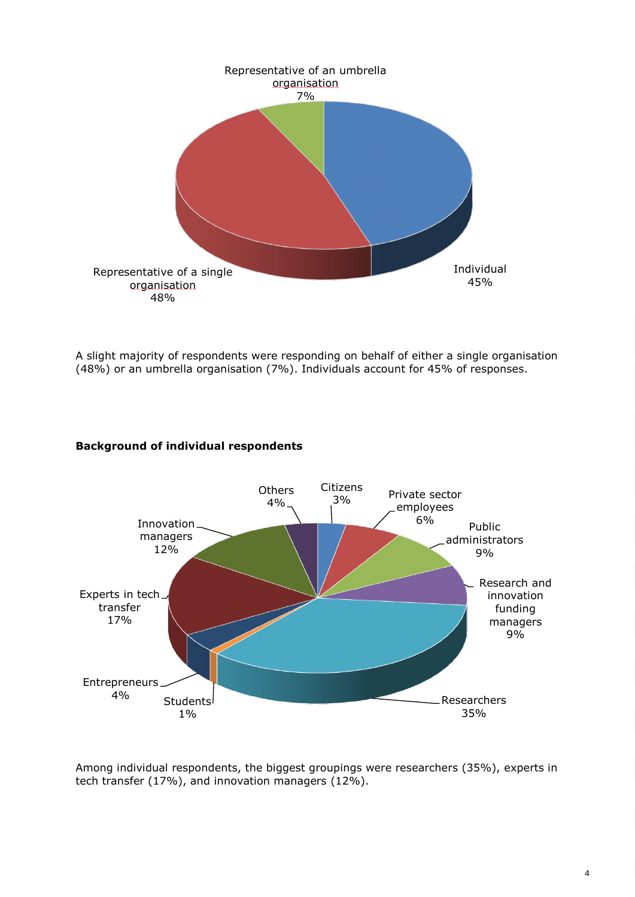

A slight majority of respondents were responding on behalf of either a single organisation (48%) or an umbrella organisation (7%). Individuals account for 45% of responses.

# **Background of individual respondents**



Among individual respondents, the biggest groupings were researchers (35%), experts in tech transfer (17%), and innovation managers (12%).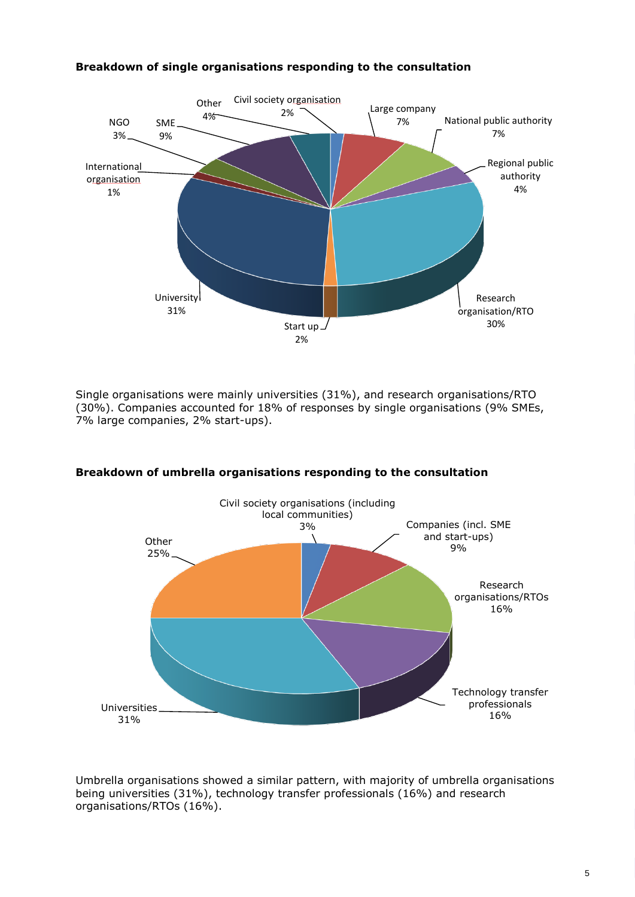

# **Breakdown of single organisations responding to the consultation**

Single organisations were mainly universities (31%), and research organisations/RTO (30%). Companies accounted for 18% of responses by single organisations (9% SMEs, 7% large companies, 2% start-ups).



# **Breakdown of umbrella organisations responding to the consultation**

Umbrella organisations showed a similar pattern, with majority of umbrella organisations being universities (31%), technology transfer professionals (16%) and research organisations/RTOs (16%).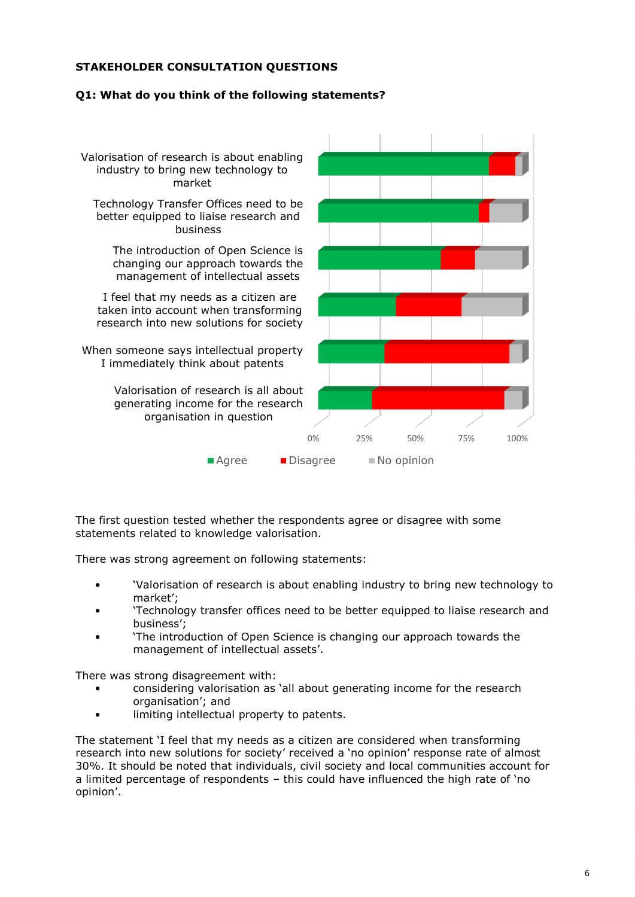# <span id="page-7-0"></span>**STAKEHOLDER CONSULTATION QUESTIONS**

# <span id="page-7-1"></span>**Q1: What do you think of the following statements?**



The first question tested whether the respondents agree or disagree with some statements related to knowledge valorisation.

There was strong agreement on following statements:

- 'Valorisation of research is about enabling industry to bring new technology to market';
- 'Technology transfer offices need to be better equipped to liaise research and business';
- 'The introduction of Open Science is changing our approach towards the management of intellectual assets'.

There was strong disagreement with:

- considering valorisation as 'all about generating income for the research organisation'; and
- limiting intellectual property to patents.

The statement 'I feel that my needs as a citizen are considered when transforming research into new solutions for society' received a 'no opinion' response rate of almost 30%. It should be noted that individuals, civil society and local communities account for a limited percentage of respondents – this could have influenced the high rate of 'no opinion'.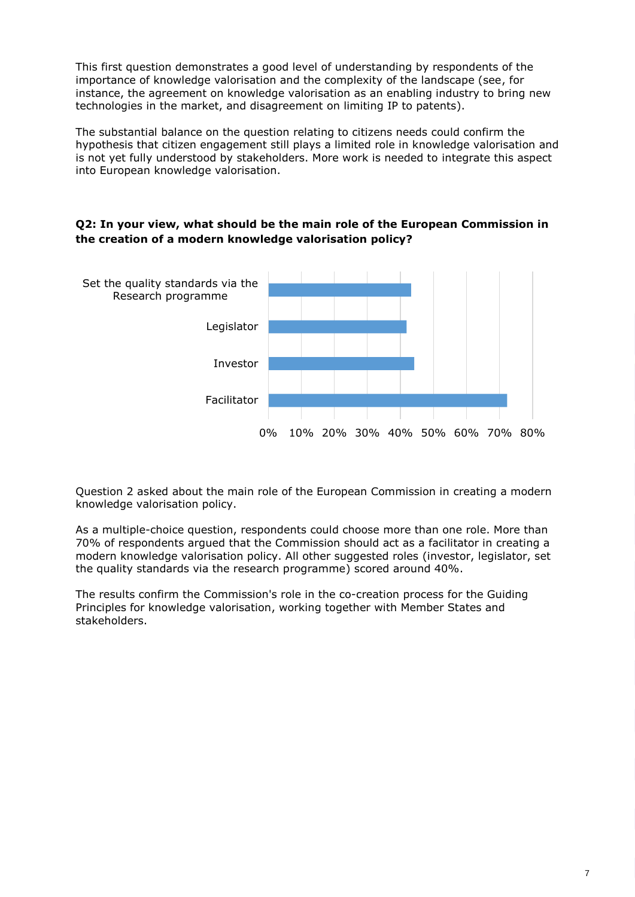This first question demonstrates a good level of understanding by respondents of the importance of knowledge valorisation and the complexity of the landscape (see, for instance, the agreement on knowledge valorisation as an enabling industry to bring new technologies in the market, and disagreement on limiting IP to patents).

The substantial balance on the question relating to citizens needs could confirm the hypothesis that citizen engagement still plays a limited role in knowledge valorisation and is not yet fully understood by stakeholders. More work is needed to integrate this aspect into European knowledge valorisation.

# <span id="page-8-0"></span>**Q2: In your view, what should be the main role of the European Commission in the creation of a modern knowledge valorisation policy?**



Question 2 asked about the main role of the European Commission in creating a modern knowledge valorisation policy.

As a multiple-choice question, respondents could choose more than one role. More than 70% of respondents argued that the Commission should act as a facilitator in creating a modern knowledge valorisation policy. All other suggested roles (investor, legislator, set the quality standards via the research programme) scored around 40%.

The results confirm the Commission's role in the co-creation process for the Guiding Principles for knowledge valorisation, working together with Member States and stakeholders.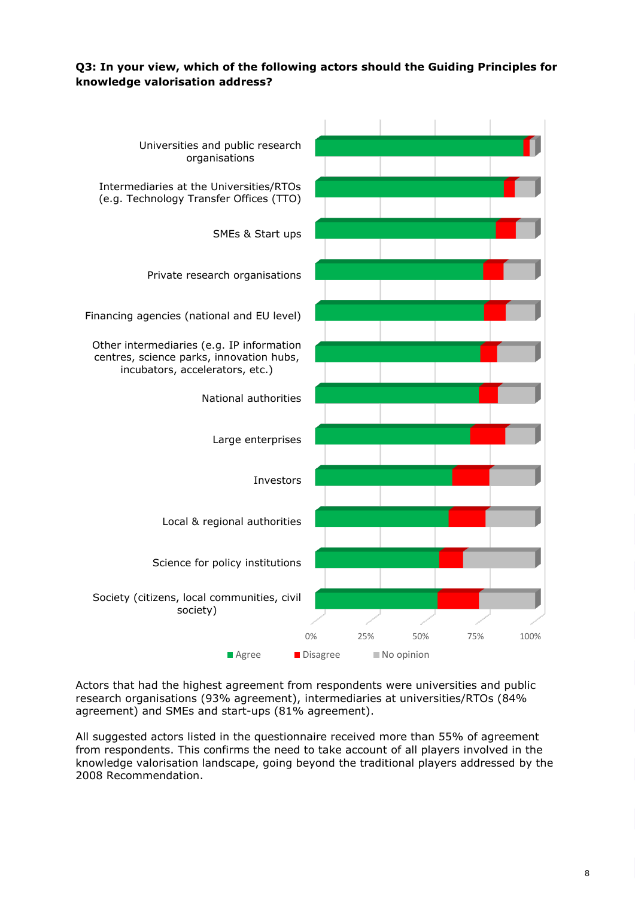# <span id="page-9-0"></span>**Q3: In your view, which of the following actors should the Guiding Principles for knowledge valorisation address?**



Actors that had the highest agreement from respondents were universities and public research organisations (93% agreement), intermediaries at universities/RTOs (84% agreement) and SMEs and start-ups (81% agreement).

All suggested actors listed in the questionnaire received more than 55% of agreement from respondents. This confirms the need to take account of all players involved in the knowledge valorisation landscape, going beyond the traditional players addressed by the 2008 Recommendation.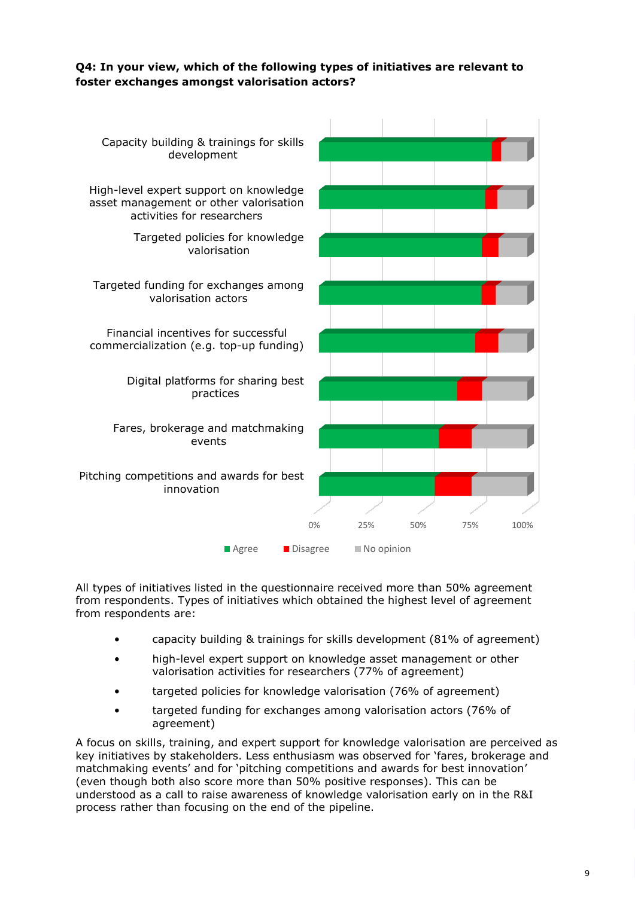# <span id="page-10-0"></span>**Q4: In your view, which of the following types of initiatives are relevant to foster exchanges amongst valorisation actors?**



All types of initiatives listed in the questionnaire received more than 50% agreement from respondents. Types of initiatives which obtained the highest level of agreement from respondents are:

- capacity building & trainings for skills development (81% of agreement)
- high-level expert support on knowledge asset management or other valorisation activities for researchers (77% of agreement)
- targeted policies for knowledge valorisation (76% of agreement)
- targeted funding for exchanges among valorisation actors (76% of agreement)

A focus on skills, training, and expert support for knowledge valorisation are perceived as key initiatives by stakeholders. Less enthusiasm was observed for 'fares, brokerage and matchmaking events' and for 'pitching competitions and awards for best innovation' (even though both also score more than 50% positive responses). This can be understood as a call to raise awareness of knowledge valorisation early on in the R&I process rather than focusing on the end of the pipeline.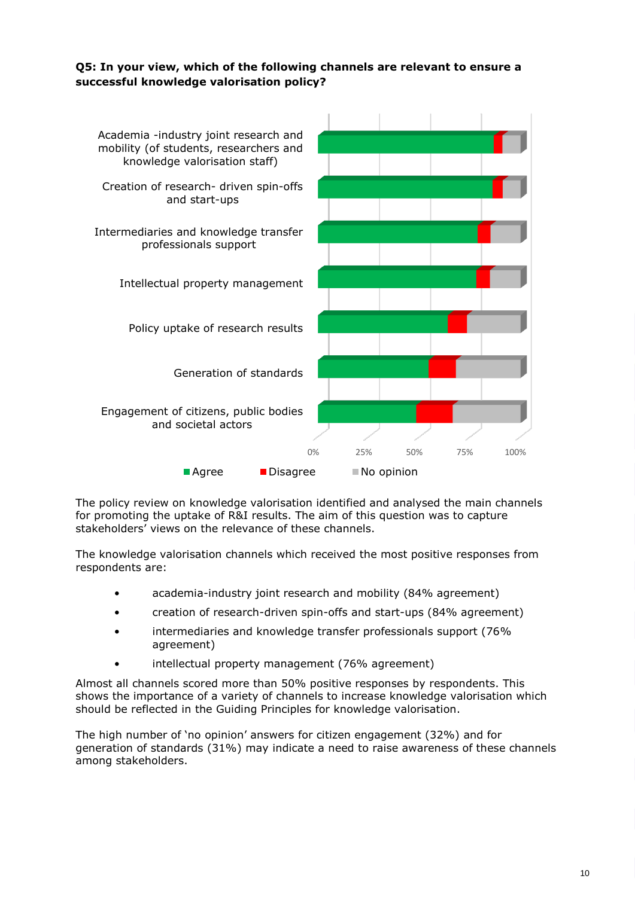# <span id="page-11-0"></span>**Q5: In your view, which of the following channels are relevant to ensure a successful knowledge valorisation policy?**



The policy review on knowledge valorisation identified and analysed the main channels for promoting the uptake of R&I results. The aim of this question was to capture stakeholders' views on the relevance of these channels.

The knowledge valorisation channels which received the most positive responses from respondents are:

- academia-industry joint research and mobility (84% agreement)
- creation of research-driven spin-offs and start-ups (84% agreement)
- intermediaries and knowledge transfer professionals support (76% agreement)
- intellectual property management (76% agreement)

Almost all channels scored more than 50% positive responses by respondents. This shows the importance of a variety of channels to increase knowledge valorisation which should be reflected in the Guiding Principles for knowledge valorisation.

The high number of 'no opinion' answers for citizen engagement (32%) and for generation of standards (31%) may indicate a need to raise awareness of these channels among stakeholders.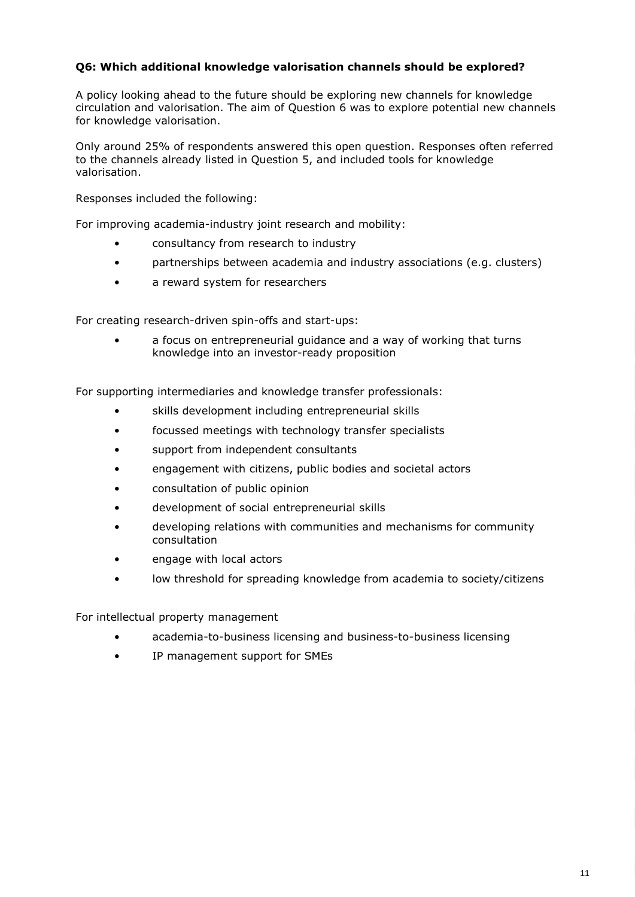# <span id="page-12-0"></span>**Q6: Which additional knowledge valorisation channels should be explored?**

A policy looking ahead to the future should be exploring new channels for knowledge circulation and valorisation. The aim of Question 6 was to explore potential new channels for knowledge valorisation.

Only around 25% of respondents answered this open question. Responses often referred to the channels already listed in Question 5, and included tools for knowledge valorisation.

Responses included the following:

For improving academia-industry joint research and mobility:

- consultancy from research to industry
- partnerships between academia and industry associations (e.g. clusters)
- a reward system for researchers

For creating research-driven spin-offs and start-ups:

a focus on entrepreneurial quidance and a way of working that turns knowledge into an investor-ready proposition

For supporting intermediaries and knowledge transfer professionals:

- skills development including entrepreneurial skills
- focussed meetings with technology transfer specialists
- support from independent consultants
- engagement with citizens, public bodies and societal actors
- consultation of public opinion
- development of social entrepreneurial skills
- developing relations with communities and mechanisms for community consultation
- engage with local actors
- low threshold for spreading knowledge from academia to society/citizens

For intellectual property management

- academia-to-business licensing and business-to-business licensing
- IP management support for SMEs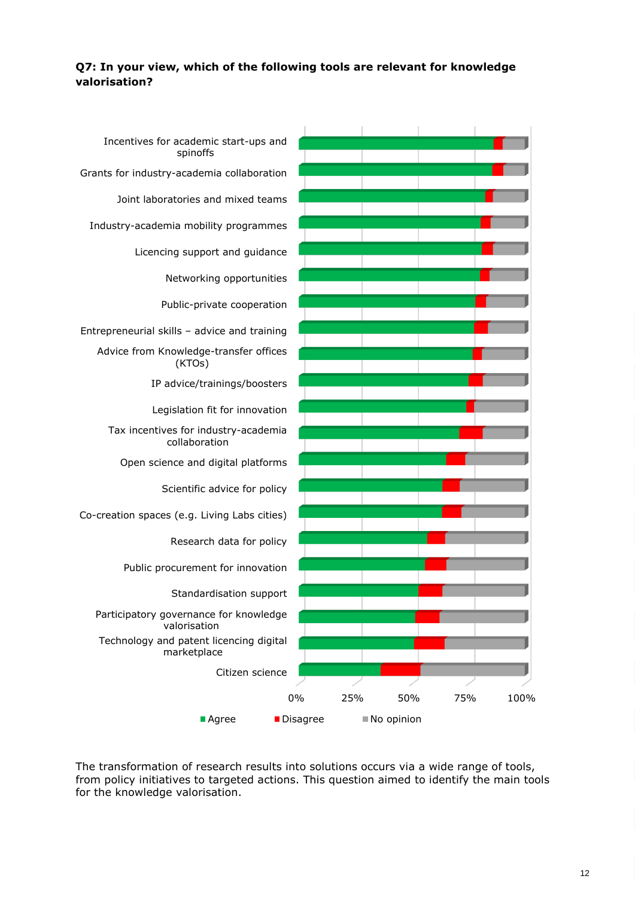# <span id="page-13-0"></span>**Q7: In your view, which of the following tools are relevant for knowledge valorisation?**



The transformation of research results into solutions occurs via a wide range of tools, from policy initiatives to targeted actions. This question aimed to identify the main tools for the knowledge valorisation.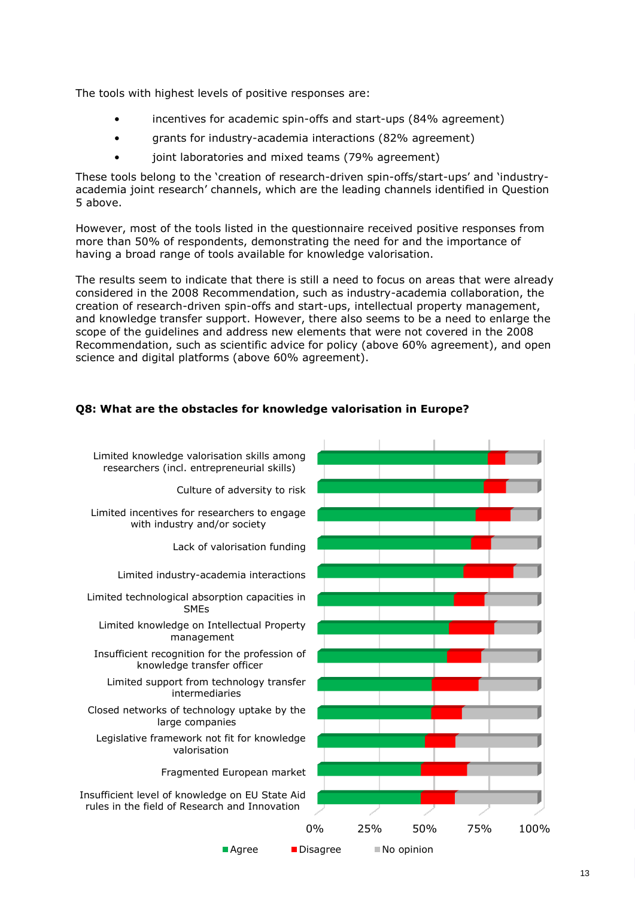The tools with highest levels of positive responses are:

- incentives for academic spin-offs and start-ups (84% agreement)
- grants for industry-academia interactions (82% agreement)
- joint laboratories and mixed teams (79% agreement)

These tools belong to the 'creation of research-driven spin-offs/start-ups' and 'industryacademia joint research' channels, which are the leading channels identified in Question 5 above.

However, most of the tools listed in the questionnaire received positive responses from more than 50% of respondents, demonstrating the need for and the importance of having a broad range of tools available for knowledge valorisation.

The results seem to indicate that there is still a need to focus on areas that were already considered in the 2008 Recommendation, such as industry-academia collaboration, the creation of research-driven spin-offs and start-ups, intellectual property management, and knowledge transfer support. However, there also seems to be a need to enlarge the scope of the guidelines and address new elements that were not covered in the 2008 Recommendation, such as scientific advice for policy (above 60% agreement), and open science and digital platforms (above 60% agreement).

# <span id="page-14-0"></span>**Q8: What are the obstacles for knowledge valorisation in Europe?**

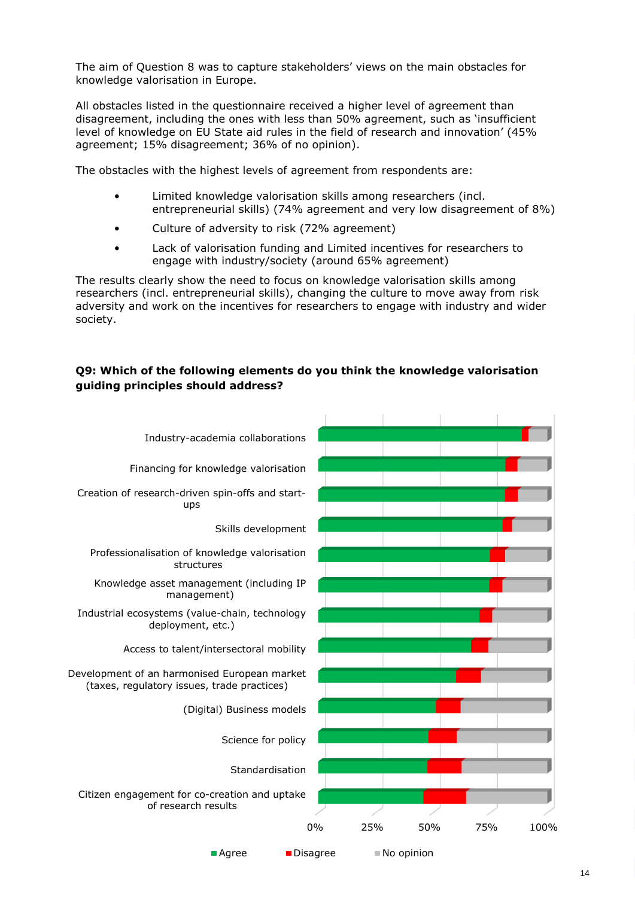The aim of Question 8 was to capture stakeholders' views on the main obstacles for knowledge valorisation in Europe.

All obstacles listed in the questionnaire received a higher level of agreement than disagreement, including the ones with less than 50% agreement, such as 'insufficient level of knowledge on EU State aid rules in the field of research and innovation' (45% agreement; 15% disagreement; 36% of no opinion).

The obstacles with the highest levels of agreement from respondents are:

- Limited knowledge valorisation skills among researchers (incl. entrepreneurial skills) (74% agreement and very low disagreement of 8%)
- Culture of adversity to risk (72% agreement)
- Lack of valorisation funding and Limited incentives for researchers to engage with industry/society (around 65% agreement)

The results clearly show the need to focus on knowledge valorisation skills among researchers (incl. entrepreneurial skills), changing the culture to move away from risk adversity and work on the incentives for researchers to engage with industry and wider society.

## <span id="page-15-0"></span>**Q9: Which of the following elements do you think the knowledge valorisation guiding principles should address?**

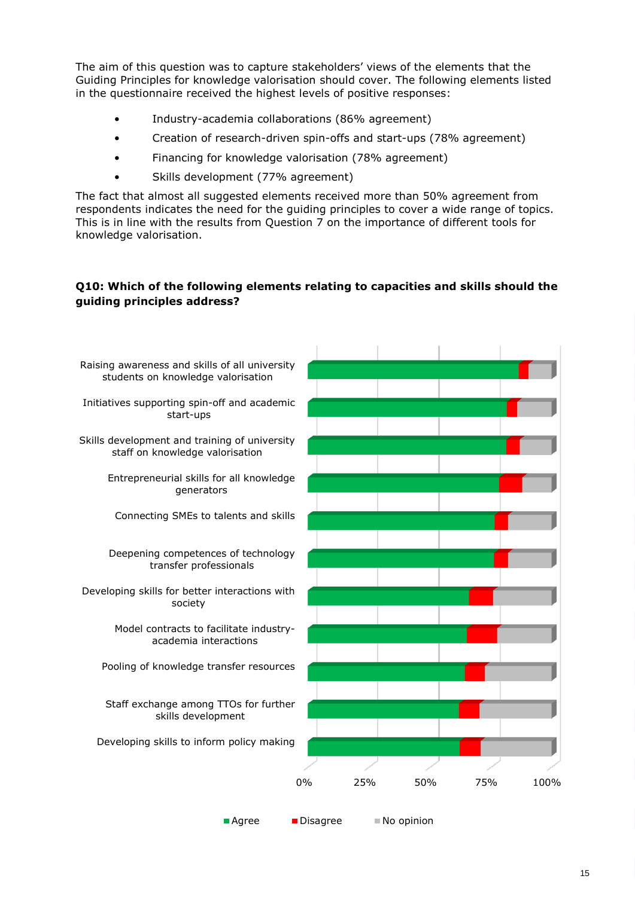The aim of this question was to capture stakeholders' views of the elements that the Guiding Principles for knowledge valorisation should cover. The following elements listed in the questionnaire received the highest levels of positive responses:

- Industry-academia collaborations (86% agreement)
- Creation of research-driven spin-offs and start-ups (78% agreement)
- Financing for knowledge valorisation (78% agreement)
- Skills development (77% agreement)

The fact that almost all suggested elements received more than 50% agreement from respondents indicates the need for the guiding principles to cover a wide range of topics. This is in line with the results from Question 7 on the importance of different tools for knowledge valorisation.

## <span id="page-16-0"></span>**Q10: Which of the following elements relating to capacities and skills should the guiding principles address?**

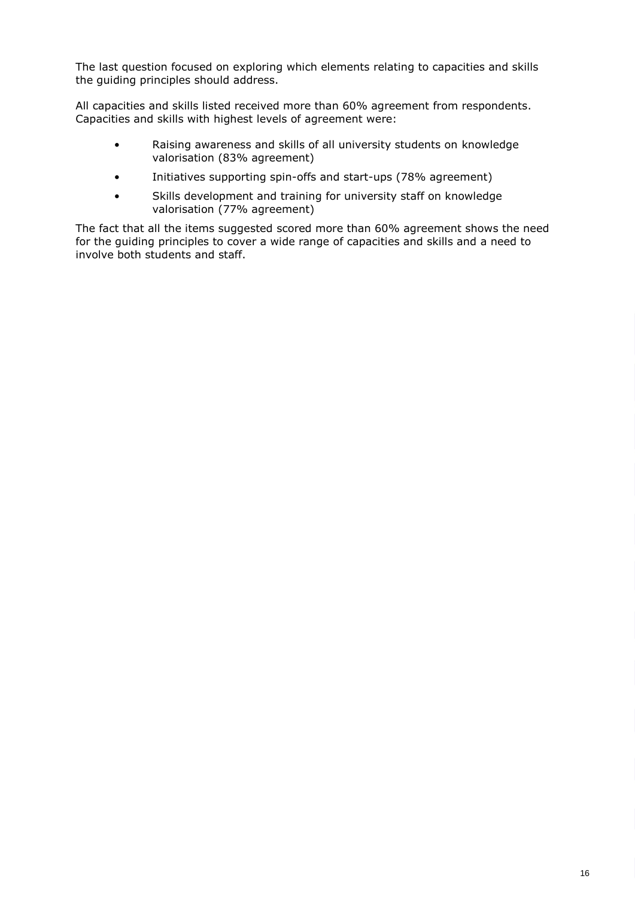The last question focused on exploring which elements relating to capacities and skills the guiding principles should address.

All capacities and skills listed received more than 60% agreement from respondents. Capacities and skills with highest levels of agreement were:

- Raising awareness and skills of all university students on knowledge valorisation (83% agreement)
- Initiatives supporting spin-offs and start-ups (78% agreement)
- Skills development and training for university staff on knowledge valorisation (77% agreement)

The fact that all the items suggested scored more than 60% agreement shows the need for the guiding principles to cover a wide range of capacities and skills and a need to involve both students and staff.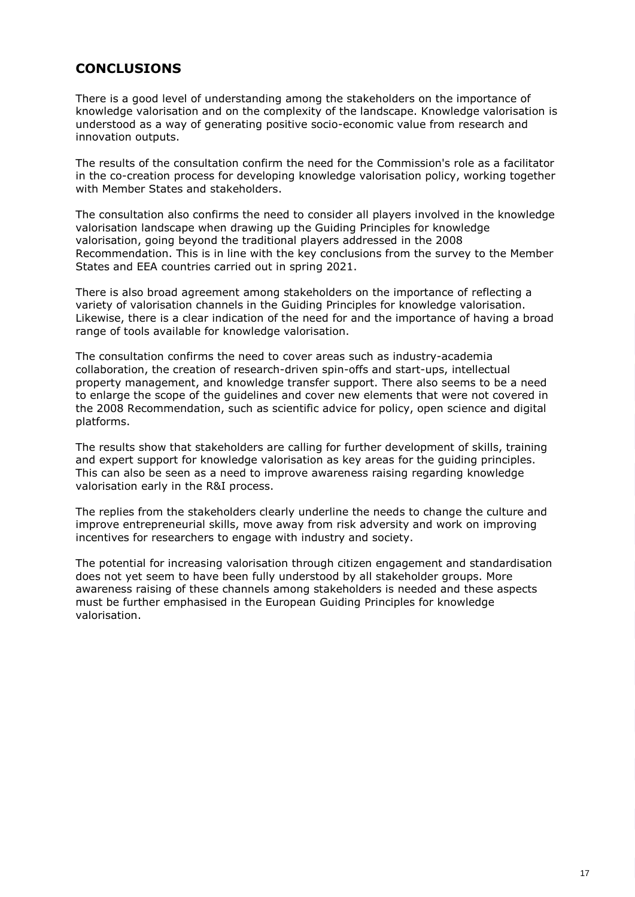# <span id="page-18-0"></span>**CONCLUSIONS**

There is a good level of understanding among the stakeholders on the importance of knowledge valorisation and on the complexity of the landscape. Knowledge valorisation is understood as a way of generating positive socio-economic value from research and innovation outputs.

The results of the consultation confirm the need for the Commission's role as a facilitator in the co-creation process for developing knowledge valorisation policy, working together with Member States and stakeholders.

The consultation also confirms the need to consider all players involved in the knowledge valorisation landscape when drawing up the Guiding Principles for knowledge valorisation, going beyond the traditional players addressed in the 2008 Recommendation. This is in line with the key conclusions from the survey to the Member States and EEA countries carried out in spring 2021.

There is also broad agreement among stakeholders on the importance of reflecting a variety of valorisation channels in the Guiding Principles for knowledge valorisation. Likewise, there is a clear indication of the need for and the importance of having a broad range of tools available for knowledge valorisation.

The consultation confirms the need to cover areas such as industry-academia collaboration, the creation of research-driven spin-offs and start-ups, intellectual property management, and knowledge transfer support. There also seems to be a need to enlarge the scope of the guidelines and cover new elements that were not covered in the 2008 Recommendation, such as scientific advice for policy, open science and digital platforms.

The results show that stakeholders are calling for further development of skills, training and expert support for knowledge valorisation as key areas for the guiding principles. This can also be seen as a need to improve awareness raising regarding knowledge valorisation early in the R&I process.

The replies from the stakeholders clearly underline the needs to change the culture and improve entrepreneurial skills, move away from risk adversity and work on improving incentives for researchers to engage with industry and society.

The potential for increasing valorisation through citizen engagement and standardisation does not yet seem to have been fully understood by all stakeholder groups. More awareness raising of these channels among stakeholders is needed and these aspects must be further emphasised in the European Guiding Principles for knowledge valorisation.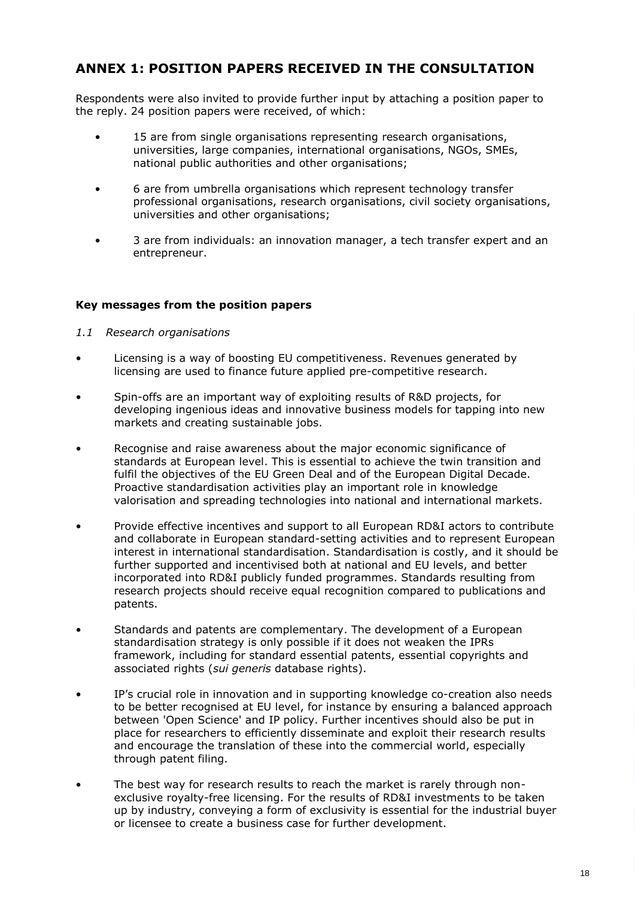# <span id="page-19-0"></span>**ANNEX 1: POSITION PAPERS RECEIVED IN THE CONSULTATION**

Respondents were also invited to provide further input by attaching a position paper to the reply. 24 position papers were received, of which:

- 15 are from single organisations representing research organisations, universities, large companies, international organisations, NGOs, SMEs, national public authorities and other organisations;
- 6 are from umbrella organisations which represent technology transfer professional organisations, research organisations, civil society organisations, universities and other organisations;
- 3 are from individuals: an innovation manager, a tech transfer expert and an entrepreneur.

# <span id="page-19-1"></span>**Key messages from the position papers**

- <span id="page-19-2"></span>*1.1 Research organisations*
- Licensing is a way of boosting EU competitiveness. Revenues generated by licensing are used to finance future applied pre-competitive research.
- Spin-offs are an important way of exploiting results of R&D projects, for developing ingenious ideas and innovative business models for tapping into new markets and creating sustainable jobs.
- Recognise and raise awareness about the major economic significance of standards at European level. This is essential to achieve the twin transition and fulfil the objectives of the EU Green Deal and of the European Digital Decade. Proactive standardisation activities play an important role in knowledge valorisation and spreading technologies into national and international markets.
- Provide effective incentives and support to all European RD&I actors to contribute and collaborate in European standard-setting activities and to represent European interest in international standardisation. Standardisation is costly, and it should be further supported and incentivised both at national and EU levels, and better incorporated into RD&I publicly funded programmes. Standards resulting from research projects should receive equal recognition compared to publications and patents.
- Standards and patents are complementary. The development of a European standardisation strategy is only possible if it does not weaken the IPRs framework, including for standard essential patents, essential copyrights and associated rights (*sui generis* database rights).
- IP's crucial role in innovation and in supporting knowledge co-creation also needs to be better recognised at EU level, for instance by ensuring a balanced approach between 'Open Science' and IP policy. Further incentives should also be put in place for researchers to efficiently disseminate and exploit their research results and encourage the translation of these into the commercial world, especially through patent filing.
- The best way for research results to reach the market is rarely through nonexclusive royalty-free licensing. For the results of RD&I investments to be taken up by industry, conveying a form of exclusivity is essential for the industrial buyer or licensee to create a business case for further development.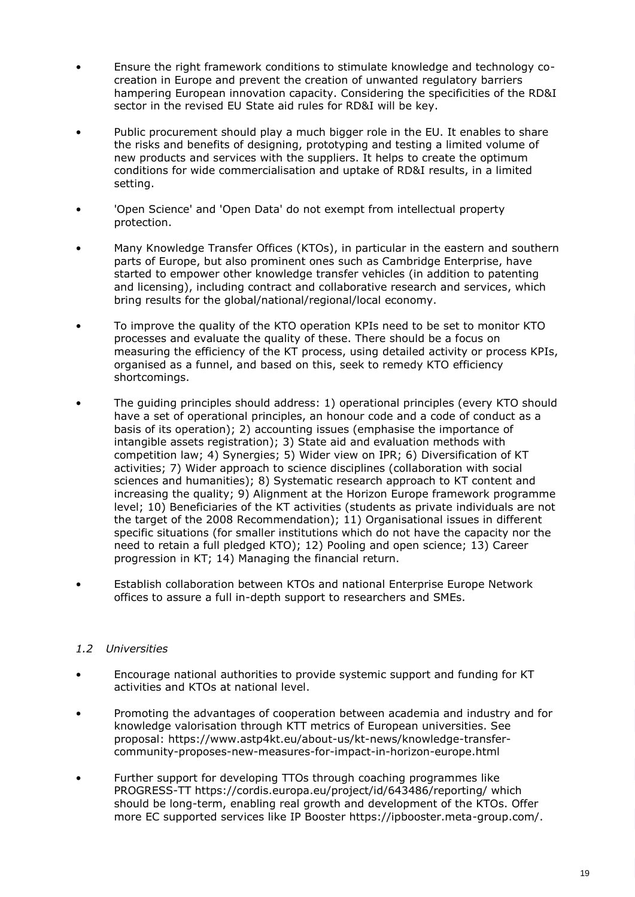- Ensure the right framework conditions to stimulate knowledge and technology cocreation in Europe and prevent the creation of unwanted regulatory barriers hampering European innovation capacity. Considering the specificities of the RD&I sector in the revised EU State aid rules for RD&I will be key.
- Public procurement should play a much bigger role in the EU. It enables to share the risks and benefits of designing, prototyping and testing a limited volume of new products and services with the suppliers. It helps to create the optimum conditions for wide commercialisation and uptake of RD&I results, in a limited setting.
- 'Open Science' and 'Open Data' do not exempt from intellectual property protection.
- Many Knowledge Transfer Offices (KTOs), in particular in the eastern and southern parts of Europe, but also prominent ones such as Cambridge Enterprise, have started to empower other knowledge transfer vehicles (in addition to patenting and licensing), including contract and collaborative research and services, which bring results for the global/national/regional/local economy.
- To improve the quality of the KTO operation KPIs need to be set to monitor KTO processes and evaluate the quality of these. There should be a focus on measuring the efficiency of the KT process, using detailed activity or process KPIs, organised as a funnel, and based on this, seek to remedy KTO efficiency shortcomings.
- The guiding principles should address: 1) operational principles (every KTO should have a set of operational principles, an honour code and a code of conduct as a basis of its operation); 2) accounting issues (emphasise the importance of intangible assets registration); 3) State aid and evaluation methods with competition law; 4) Synergies; 5) Wider view on IPR; 6) Diversification of KT activities; 7) Wider approach to science disciplines (collaboration with social sciences and humanities); 8) Systematic research approach to KT content and increasing the quality; 9) Alignment at the Horizon Europe framework programme level; 10) Beneficiaries of the KT activities (students as private individuals are not the target of the 2008 Recommendation); 11) Organisational issues in different specific situations (for smaller institutions which do not have the capacity nor the need to retain a full pledged KTO); 12) Pooling and open science; 13) Career progression in KT; 14) Managing the financial return.
- Establish collaboration between KTOs and national Enterprise Europe Network offices to assure a full in-depth support to researchers and SMEs.

# <span id="page-20-0"></span>*1.2 Universities*

- Encourage national authorities to provide systemic support and funding for KT activities and KTOs at national level.
- Promoting the advantages of cooperation between academia and industry and for knowledge valorisation through KTT metrics of European universities. See proposal: https://www.astp4kt.eu/about-us/kt-news/knowledge-transfercommunity-proposes-new-measures-for-impact-in-horizon-europe.html
- Further support for developing TTOs through coaching programmes like PROGRESS-TT https://cordis.europa.eu/project/id/643486/reporting/ which should be long-term, enabling real growth and development of the KTOs. Offer more EC supported services like IP Booster https://ipbooster.meta-group.com/.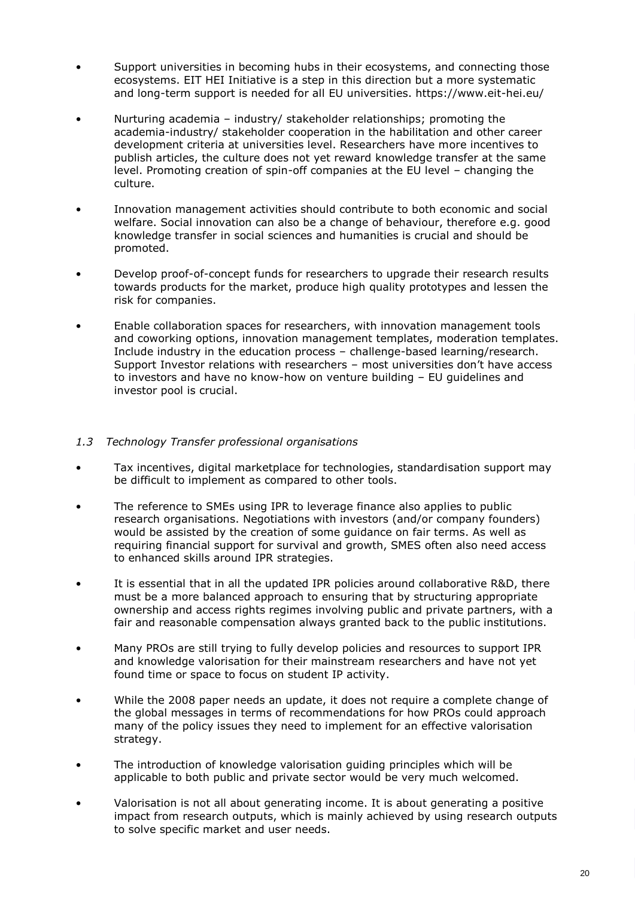- Support universities in becoming hubs in their ecosystems, and connecting those ecosystems. EIT HEI Initiative is a step in this direction but a more systematic and long-term support is needed for all EU universities. https://www.eit-hei.eu/
- Nurturing academia industry/ stakeholder relationships; promoting the academia-industry/ stakeholder cooperation in the habilitation and other career development criteria at universities level. Researchers have more incentives to publish articles, the culture does not yet reward knowledge transfer at the same level. Promoting creation of spin-off companies at the EU level – changing the culture.
- Innovation management activities should contribute to both economic and social welfare. Social innovation can also be a change of behaviour, therefore e.g. good knowledge transfer in social sciences and humanities is crucial and should be promoted.
- Develop proof-of-concept funds for researchers to upgrade their research results towards products for the market, produce high quality prototypes and lessen the risk for companies.
- Enable collaboration spaces for researchers, with innovation management tools and coworking options, innovation management templates, moderation templates. Include industry in the education process – challenge-based learning/research. Support Investor relations with researchers – most universities don't have access to investors and have no know-how on venture building – EU guidelines and investor pool is crucial.

## <span id="page-21-0"></span>*1.3 Technology Transfer professional organisations*

- Tax incentives, digital marketplace for technologies, standardisation support may be difficult to implement as compared to other tools.
- The reference to SMEs using IPR to leverage finance also applies to public research organisations. Negotiations with investors (and/or company founders) would be assisted by the creation of some guidance on fair terms. As well as requiring financial support for survival and growth, SMES often also need access to enhanced skills around IPR strategies.
- It is essential that in all the updated IPR policies around collaborative R&D, there must be a more balanced approach to ensuring that by structuring appropriate ownership and access rights regimes involving public and private partners, with a fair and reasonable compensation always granted back to the public institutions.
- Many PROs are still trying to fully develop policies and resources to support IPR and knowledge valorisation for their mainstream researchers and have not yet found time or space to focus on student IP activity.
- While the 2008 paper needs an update, it does not require a complete change of the global messages in terms of recommendations for how PROs could approach many of the policy issues they need to implement for an effective valorisation strategy.
- The introduction of knowledge valorisation guiding principles which will be applicable to both public and private sector would be very much welcomed.
- Valorisation is not all about generating income. It is about generating a positive impact from research outputs, which is mainly achieved by using research outputs to solve specific market and user needs.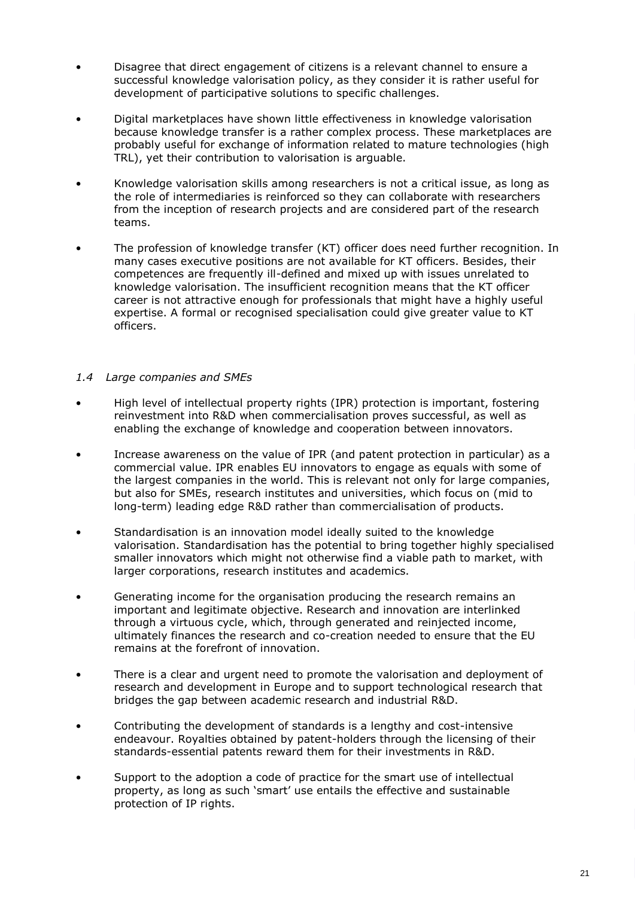- Disagree that direct engagement of citizens is a relevant channel to ensure a successful knowledge valorisation policy, as they consider it is rather useful for development of participative solutions to specific challenges.
- Digital marketplaces have shown little effectiveness in knowledge valorisation because knowledge transfer is a rather complex process. These marketplaces are probably useful for exchange of information related to mature technologies (high TRL), yet their contribution to valorisation is arguable.
- Knowledge valorisation skills among researchers is not a critical issue, as long as the role of intermediaries is reinforced so they can collaborate with researchers from the inception of research projects and are considered part of the research teams.
- The profession of knowledge transfer (KT) officer does need further recognition. In many cases executive positions are not available for KT officers. Besides, their competences are frequently ill-defined and mixed up with issues unrelated to knowledge valorisation. The insufficient recognition means that the KT officer career is not attractive enough for professionals that might have a highly useful expertise. A formal or recognised specialisation could give greater value to KT officers.

## <span id="page-22-0"></span>*1.4 Large companies and SMEs*

- High level of intellectual property rights (IPR) protection is important, fostering reinvestment into R&D when commercialisation proves successful, as well as enabling the exchange of knowledge and cooperation between innovators.
- Increase awareness on the value of IPR (and patent protection in particular) as a commercial value. IPR enables EU innovators to engage as equals with some of the largest companies in the world. This is relevant not only for large companies, but also for SMEs, research institutes and universities, which focus on (mid to long-term) leading edge R&D rather than commercialisation of products.
- Standardisation is an innovation model ideally suited to the knowledge valorisation. Standardisation has the potential to bring together highly specialised smaller innovators which might not otherwise find a viable path to market, with larger corporations, research institutes and academics.
- Generating income for the organisation producing the research remains an important and legitimate objective. Research and innovation are interlinked through a virtuous cycle, which, through generated and reinjected income, ultimately finances the research and co-creation needed to ensure that the EU remains at the forefront of innovation.
- There is a clear and urgent need to promote the valorisation and deployment of research and development in Europe and to support technological research that bridges the gap between academic research and industrial R&D.
- Contributing the development of standards is a lengthy and cost-intensive endeavour. Royalties obtained by patent-holders through the licensing of their standards-essential patents reward them for their investments in R&D.
- Support to the adoption a code of practice for the smart use of intellectual property, as long as such 'smart' use entails the effective and sustainable protection of IP rights.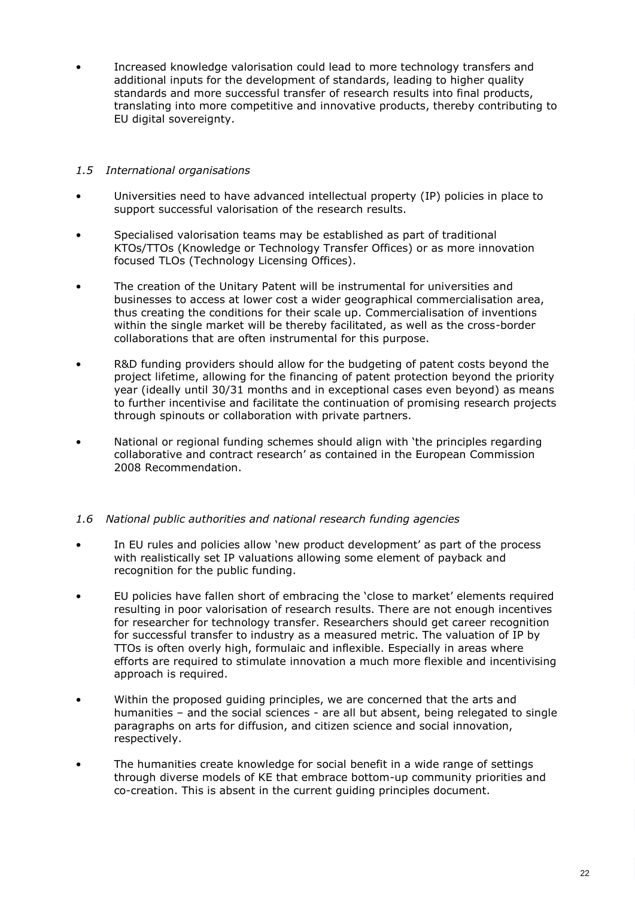• Increased knowledge valorisation could lead to more technology transfers and additional inputs for the development of standards, leading to higher quality standards and more successful transfer of research results into final products, translating into more competitive and innovative products, thereby contributing to EU digital sovereignty.

# <span id="page-23-0"></span>*1.5 International organisations*

- Universities need to have advanced intellectual property (IP) policies in place to support successful valorisation of the research results.
- Specialised valorisation teams may be established as part of traditional KTOs/TTOs (Knowledge or Technology Transfer Offices) or as more innovation focused TLOs (Technology Licensing Offices).
- The creation of the Unitary Patent will be instrumental for universities and businesses to access at lower cost a wider geographical commercialisation area, thus creating the conditions for their scale up. Commercialisation of inventions within the single market will be thereby facilitated, as well as the cross-border collaborations that are often instrumental for this purpose.
- R&D funding providers should allow for the budgeting of patent costs beyond the project lifetime, allowing for the financing of patent protection beyond the priority year (ideally until 30/31 months and in exceptional cases even beyond) as means to further incentivise and facilitate the continuation of promising research projects through spinouts or collaboration with private partners.
- National or regional funding schemes should align with 'the principles regarding collaborative and contract research' as contained in the European Commission 2008 Recommendation.

# <span id="page-23-1"></span>*1.6 National public authorities and national research funding agencies*

- In EU rules and policies allow 'new product development' as part of the process with realistically set IP valuations allowing some element of payback and recognition for the public funding.
- EU policies have fallen short of embracing the 'close to market' elements required resulting in poor valorisation of research results. There are not enough incentives for researcher for technology transfer. Researchers should get career recognition for successful transfer to industry as a measured metric. The valuation of IP by TTOs is often overly high, formulaic and inflexible. Especially in areas where efforts are required to stimulate innovation a much more flexible and incentivising approach is required.
- Within the proposed guiding principles, we are concerned that the arts and humanities – and the social sciences - are all but absent, being relegated to single paragraphs on arts for diffusion, and citizen science and social innovation, respectively.
- The humanities create knowledge for social benefit in a wide range of settings through diverse models of KE that embrace bottom-up community priorities and co-creation. This is absent in the current guiding principles document.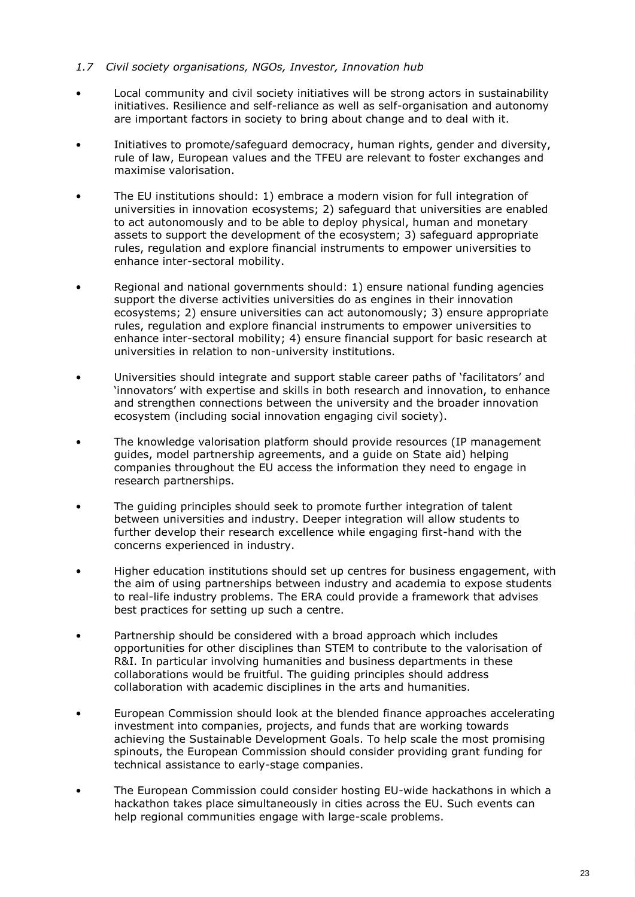## <span id="page-24-0"></span>*1.7 Civil society organisations, NGOs, Investor, Innovation hub*

- Local community and civil society initiatives will be strong actors in sustainability initiatives. Resilience and self-reliance as well as self-organisation and autonomy are important factors in society to bring about change and to deal with it.
- Initiatives to promote/safeguard democracy, human rights, gender and diversity, rule of law, European values and the TFEU are relevant to foster exchanges and maximise valorisation.
- The EU institutions should: 1) embrace a modern vision for full integration of universities in innovation ecosystems; 2) safeguard that universities are enabled to act autonomously and to be able to deploy physical, human and monetary assets to support the development of the ecosystem; 3) safeguard appropriate rules, regulation and explore financial instruments to empower universities to enhance inter-sectoral mobility.
- Regional and national governments should: 1) ensure national funding agencies support the diverse activities universities do as engines in their innovation ecosystems; 2) ensure universities can act autonomously; 3) ensure appropriate rules, regulation and explore financial instruments to empower universities to enhance inter-sectoral mobility; 4) ensure financial support for basic research at universities in relation to non-university institutions.
- Universities should integrate and support stable career paths of 'facilitators' and 'innovators' with expertise and skills in both research and innovation, to enhance and strengthen connections between the university and the broader innovation ecosystem (including social innovation engaging civil society).
- The knowledge valorisation platform should provide resources (IP management guides, model partnership agreements, and a guide on State aid) helping companies throughout the EU access the information they need to engage in research partnerships.
- The guiding principles should seek to promote further integration of talent between universities and industry. Deeper integration will allow students to further develop their research excellence while engaging first-hand with the concerns experienced in industry.
- Higher education institutions should set up centres for business engagement, with the aim of using partnerships between industry and academia to expose students to real-life industry problems. The ERA could provide a framework that advises best practices for setting up such a centre.
- Partnership should be considered with a broad approach which includes opportunities for other disciplines than STEM to contribute to the valorisation of R&I. In particular involving humanities and business departments in these collaborations would be fruitful. The guiding principles should address collaboration with academic disciplines in the arts and humanities.
- European Commission should look at the blended finance approaches accelerating investment into companies, projects, and funds that are working towards achieving the Sustainable Development Goals. To help scale the most promising spinouts, the European Commission should consider providing grant funding for technical assistance to early-stage companies.
- The European Commission could consider hosting EU-wide hackathons in which a hackathon takes place simultaneously in cities across the EU. Such events can help regional communities engage with large-scale problems.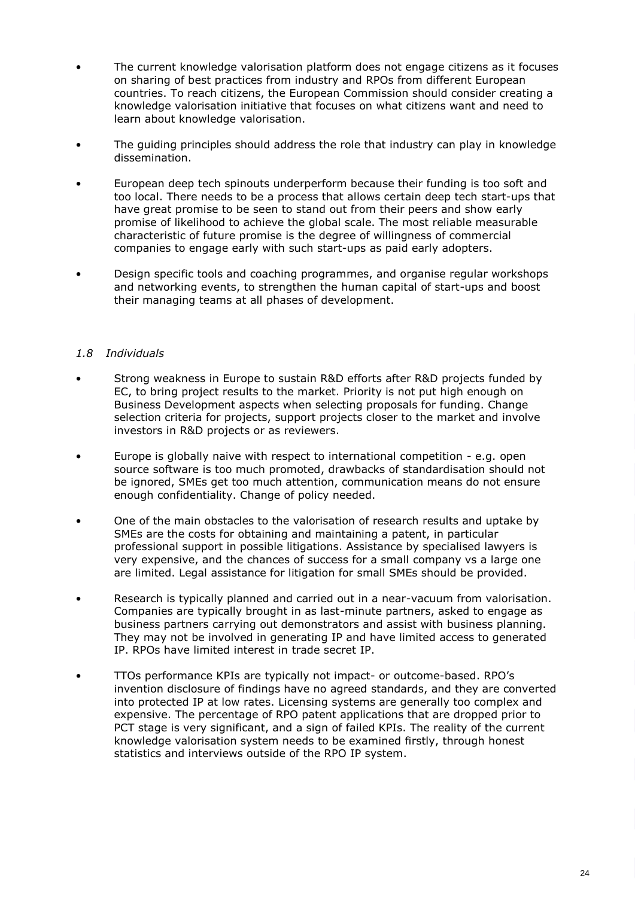- The current knowledge valorisation platform does not engage citizens as it focuses on sharing of best practices from industry and RPOs from different European countries. To reach citizens, the European Commission should consider creating a knowledge valorisation initiative that focuses on what citizens want and need to learn about knowledge valorisation.
- The guiding principles should address the role that industry can play in knowledge dissemination.
- European deep tech spinouts underperform because their funding is too soft and too local. There needs to be a process that allows certain deep tech start-ups that have great promise to be seen to stand out from their peers and show early promise of likelihood to achieve the global scale. The most reliable measurable characteristic of future promise is the degree of willingness of commercial companies to engage early with such start-ups as paid early adopters.
- Design specific tools and coaching programmes, and organise regular workshops and networking events, to strengthen the human capital of start-ups and boost their managing teams at all phases of development.

# <span id="page-25-0"></span>*1.8 Individuals*

- Strong weakness in Europe to sustain R&D efforts after R&D projects funded by EC, to bring project results to the market. Priority is not put high enough on Business Development aspects when selecting proposals for funding. Change selection criteria for projects, support projects closer to the market and involve investors in R&D projects or as reviewers.
- Europe is globally naive with respect to international competition e.g. open source software is too much promoted, drawbacks of standardisation should not be ignored, SMEs get too much attention, communication means do not ensure enough confidentiality. Change of policy needed.
- One of the main obstacles to the valorisation of research results and uptake by SMEs are the costs for obtaining and maintaining a patent, in particular professional support in possible litigations. Assistance by specialised lawyers is very expensive, and the chances of success for a small company vs a large one are limited. Legal assistance for litigation for small SMEs should be provided.
- Research is typically planned and carried out in a near-vacuum from valorisation. Companies are typically brought in as last-minute partners, asked to engage as business partners carrying out demonstrators and assist with business planning. They may not be involved in generating IP and have limited access to generated IP. RPOs have limited interest in trade secret IP.
- TTOs performance KPIs are typically not impact- or outcome-based. RPO's invention disclosure of findings have no agreed standards, and they are converted into protected IP at low rates. Licensing systems are generally too complex and expensive. The percentage of RPO patent applications that are dropped prior to PCT stage is very significant, and a sign of failed KPIs. The reality of the current knowledge valorisation system needs to be examined firstly, through honest statistics and interviews outside of the RPO IP system.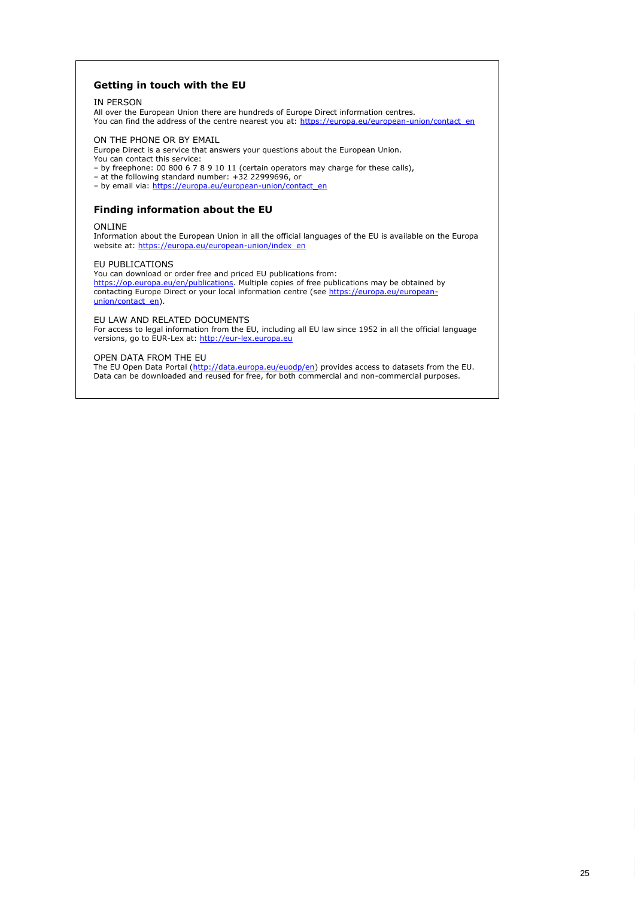### **Getting in touch with the EU**

#### IN PERSON

All over the European Union there are hundreds of Europe Direct information centres.

You can find the address of the centre nearest you at: https://europa.eu/european-union/contact\_en

#### ON THE PHONE OR BY EMAIL

Europe Direct is a service that answers your questions about the European Union. You can contact this service:

- by freephone: 00 800 6 7 8 9 10 11 (certain operators may charge for these calls),
- at the following standard number: +32 22999696, or
- by email via: https://europa.eu/european-union/contact\_en

## **Finding information about the EU**

#### ONLINE

Information about the European Union in all the official languages of the EU is available on the Europa website at: https://europa.eu/european-union/index\_en

#### EU PUBLICATIONS

You can download or order free and priced EU publications from: https://op.europa.eu/en/publications</u>. Multiple copies of free publications may be obtained by contacting Europe Direct or your local information centre (see https://europa.eu/europeanunion/contact\_en).

### EU LAW AND RELATED DOCUMENTS

For access to legal information from the EU, including all EU law since 1952 in all the official language versions, go to EUR-Lex at: [http://eur-lex.europa.eu](http://eur-lex.europa.eu/)

#### OPEN DATA FROM THE EU

The EU Open Data Portal [\(http://data.europa.eu/euodp/en\)](http://data.europa.eu/euodp/en) provides access to datasets from the EU. Data can be downloaded and reused for free, for both commercial and non-commercial purposes.